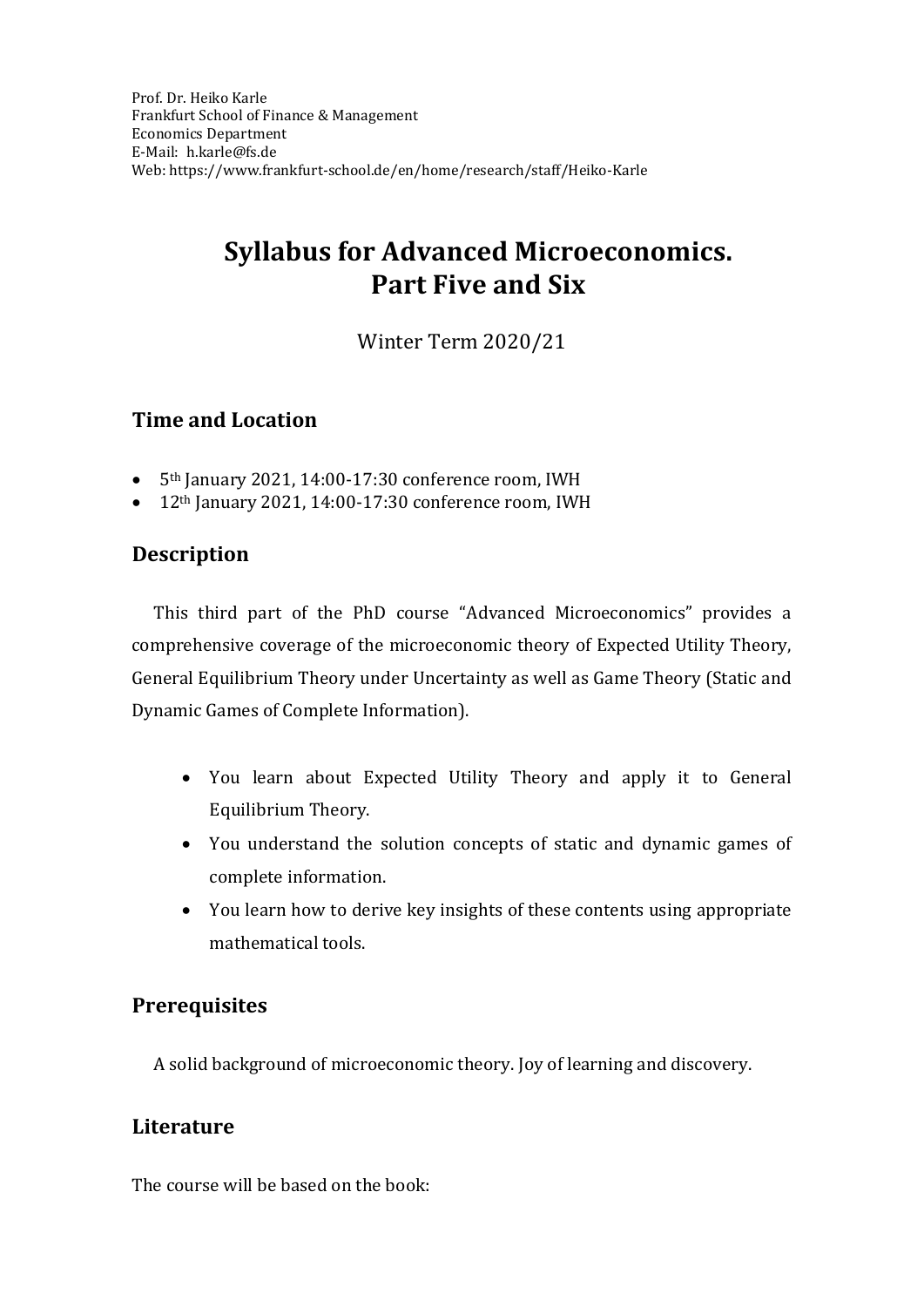# **Syllabus for Advanced Microeconomics. Part Five and Six**

Winter Term 2020/21

## **Time and Location**

- 5th January 2021, 14:00-17:30 conference room, IWH
- 12<sup>th</sup> January 2021, 14:00-17:30 conference room, IWH

## **Description**

This third part of the PhD course "Advanced Microeconomics" provides a comprehensive coverage of the microeconomic theory of Expected Utility Theory, General Equilibrium Theory under Uncertainty as well as Game Theory (Static and Dynamic Games of Complete Information).

- You learn about Expected Utility Theory and apply it to General Equilibrium Theory.
- You understand the solution concepts of static and dynamic games of complete information.
- You learn how to derive key insights of these contents using appropriate mathematical tools.

## **Prerequisites**

A solid background of microeconomic theory. Joy of learning and discovery.

## **Literature**

The course will be based on the book: